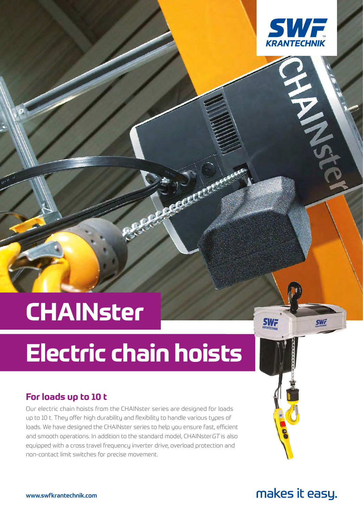

## **CHAINster**

# **Electric chain hoists**

Charles Creek

### **For loads up to 10 t**

Our electric chain hoists from the CHAINster series are designed for loads up to 10 t. They offer high durability and flexibility to handle various types of loads. We have designed the CHAINster series to help you ensure fast, efficient and smooth operations. In addition to the standard model, CHAINsterGT is also equipped with a cross travel frequency inverter drive, overload protection and non-contact limit switches for precise movement.

makes it easy.

**SWF** 

**SWi**